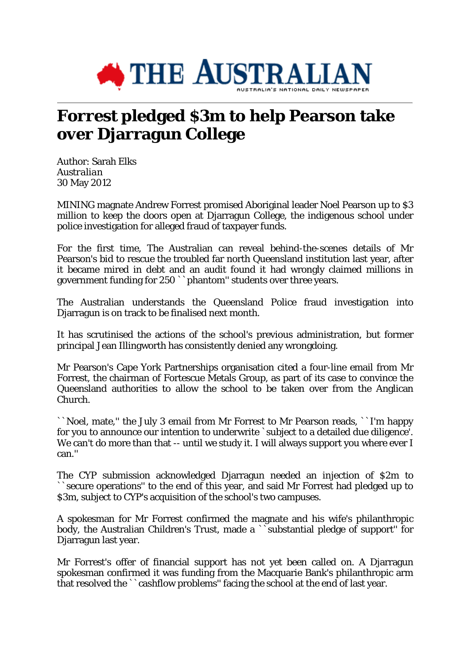

## **Forrest pledged \$3m to help Pearson take over Djarragun College**

Author: Sarah Elks *Australian* 30 May 2012

MINING magnate Andrew Forrest promised Aboriginal leader Noel Pearson up to \$3 million to keep the doors open at Djarragun College, the indigenous school under police investigation for alleged fraud of taxpayer funds.

For the first time, The Australian can reveal behind-the-scenes details of Mr Pearson's bid to rescue the troubled far north Queensland institution last year, after it became mired in debt and an audit found it had wrongly claimed millions in government funding for 250 ``phantom'' students over three years.

The Australian understands the Queensland Police fraud investigation into Djarragun is on track to be finalised next month.

It has scrutinised the actions of the school's previous administration, but former principal Jean Illingworth has consistently denied any wrongdoing.

Mr Pearson's Cape York Partnerships organisation cited a four-line email from Mr Forrest, the chairman of Fortescue Metals Group, as part of its case to convince the Queensland authorities to allow the school to be taken over from the Anglican Church.

``Noel, mate,'' the July 3 email from Mr Forrest to Mr Pearson reads, ``I'm happy for you to announce our intention to underwrite `subject to a detailed due diligence'. We can't do more than that -- until we study it. I will always support you where ever I can.''

The CYP submission acknowledged Djarragun needed an injection of \$2m to ``secure operations'' to the end of this year, and said Mr Forrest had pledged up to \$3m, subject to CYP's acquisition of the school's two campuses.

A spokesman for Mr Forrest confirmed the magnate and his wife's philanthropic body, the Australian Children's Trust, made a ``substantial pledge of support'' for Djarragun last year.

Mr Forrest's offer of financial support has not yet been called on. A Djarragun spokesman confirmed it was funding from the Macquarie Bank's philanthropic arm that resolved the ``cashflow problems'' facing the school at the end of last year.